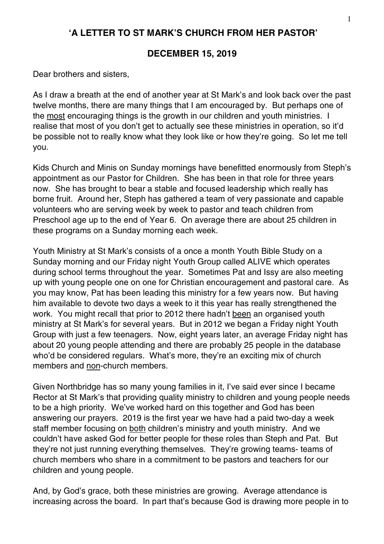## **'A LETTER TO ST MARK'S CHURCH FROM HER PASTOR'**

## **DECEMBER 15, 2019**

Dear brothers and sisters,

As I draw a breath at the end of another year at St Mark's and look back over the past twelve months, there are many things that I am encouraged by. But perhaps one of the most encouraging things is the growth in our children and youth ministries. I realise that most of you don't get to actually see these ministries in operation, so it'd be possible not to really know what they look like or how they're going. So let me tell you.

Kids Church and Minis on Sunday mornings have benefitted enormously from Steph's appointment as our Pastor for Children. She has been in that role for three years now. She has brought to bear a stable and focused leadership which really has borne fruit. Around her, Steph has gathered a team of very passionate and capable volunteers who are serving week by week to pastor and teach children from Preschool age up to the end of Year 6. On average there are about 25 children in these programs on a Sunday morning each week.

Youth Ministry at St Mark's consists of a once a month Youth Bible Study on a Sunday morning and our Friday night Youth Group called ALIVE which operates during school terms throughout the year. Sometimes Pat and Issy are also meeting up with young people one on one for Christian encouragement and pastoral care. As you may know, Pat has been leading this ministry for a few years now. But having him available to devote two days a week to it this year has really strengthened the work. You might recall that prior to 2012 there hadn't been an organised youth ministry at St Mark's for several years. But in 2012 we began a Friday night Youth Group with just a few teenagers. Now, eight years later, an average Friday night has about 20 young people attending and there are probably 25 people in the database who'd be considered regulars. What's more, they're an exciting mix of church members and non-church members.

Given Northbridge has so many young families in it, I've said ever since I became Rector at St Mark's that providing quality ministry to children and young people needs to be a high priority. We've worked hard on this together and God has been answering our prayers. 2019 is the first year we have had a paid two-day a week staff member focusing on both children's ministry and youth ministry. And we couldn't have asked God for better people for these roles than Steph and Pat. But they're not just running everything themselves. They're growing teams- teams of church members who share in a commitment to be pastors and teachers for our children and young people.

And, by God's grace, both these ministries are growing. Average attendance is increasing across the board. In part that's because God is drawing more people in to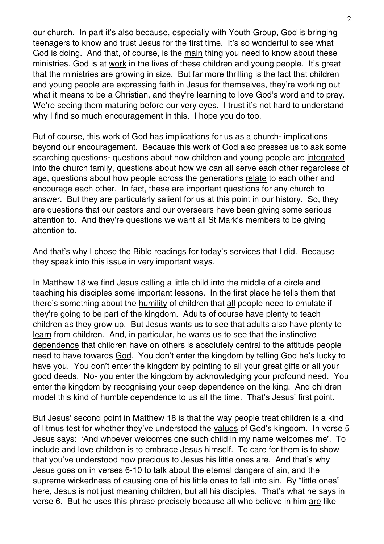our church. In part it's also because, especially with Youth Group, God is bringing teenagers to know and trust Jesus for the first time. It's so wonderful to see what God is doing. And that, of course, is the main thing you need to know about these ministries. God is at work in the lives of these children and young people. It's great that the ministries are growing in size. But far more thrilling is the fact that children and young people are expressing faith in Jesus for themselves, they're working out what it means to be a Christian, and they're learning to love God's word and to pray. We're seeing them maturing before our very eyes. I trust it's not hard to understand why I find so much encouragement in this. I hope you do too.

But of course, this work of God has implications for us as a church- implications beyond our encouragement. Because this work of God also presses us to ask some searching questions- questions about how children and young people are integrated into the church family, questions about how we can all serve each other regardless of age, questions about how people across the generations relate to each other and encourage each other. In fact, these are important questions for any church to answer. But they are particularly salient for us at this point in our history. So, they are questions that our pastors and our overseers have been giving some serious attention to. And they're questions we want all St Mark's members to be giving attention to.

And that's why I chose the Bible readings for today's services that I did. Because they speak into this issue in very important ways.

In Matthew 18 we find Jesus calling a little child into the middle of a circle and teaching his disciples some important lessons. In the first place he tells them that there's something about the humility of children that all people need to emulate if they're going to be part of the kingdom. Adults of course have plenty to teach children as they grow up. But Jesus wants us to see that adults also have plenty to learn from children. And, in particular, he wants us to see that the instinctive dependence that children have on others is absolutely central to the attitude people need to have towards God. You don't enter the kingdom by telling God he's lucky to have you. You don't enter the kingdom by pointing to all your great gifts or all your good deeds. No- you enter the kingdom by acknowledging your profound need. You enter the kingdom by recognising your deep dependence on the king. And children model this kind of humble dependence to us all the time. That's Jesus' first point.

But Jesus' second point in Matthew 18 is that the way people treat children is a kind of litmus test for whether they've understood the values of God's kingdom. In verse 5 Jesus says: 'And whoever welcomes one such child in my name welcomes me'. To include and love children is to embrace Jesus himself. To care for them is to show that you've understood how precious to Jesus his little ones are. And that's why Jesus goes on in verses 6-10 to talk about the eternal dangers of sin, and the supreme wickedness of causing one of his little ones to fall into sin. By "little ones" here, Jesus is not just meaning children, but all his disciples. That's what he says in verse 6. But he uses this phrase precisely because all who believe in him are like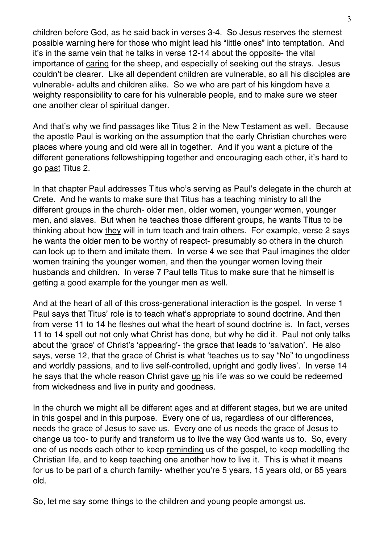children before God, as he said back in verses 3-4. So Jesus reserves the sternest possible warning here for those who might lead his "little ones" into temptation. And it's in the same vein that he talks in verse 12-14 about the opposite- the vital importance of caring for the sheep, and especially of seeking out the strays. Jesus couldn't be clearer. Like all dependent children are vulnerable, so all his disciples are vulnerable- adults and children alike. So we who are part of his kingdom have a weighty responsibility to care for his vulnerable people, and to make sure we steer one another clear of spiritual danger.

And that's why we find passages like Titus 2 in the New Testament as well. Because the apostle Paul is working on the assumption that the early Christian churches were places where young and old were all in together. And if you want a picture of the different generations fellowshipping together and encouraging each other, it's hard to go past Titus 2.

In that chapter Paul addresses Titus who's serving as Paul's delegate in the church at Crete. And he wants to make sure that Titus has a teaching ministry to all the different groups in the church- older men, older women, younger women, younger men, and slaves. But when he teaches those different groups, he wants Titus to be thinking about how they will in turn teach and train others. For example, verse 2 says he wants the older men to be worthy of respect- presumably so others in the church can look up to them and imitate them. In verse 4 we see that Paul imagines the older women training the younger women, and then the younger women loving their husbands and children. In verse 7 Paul tells Titus to make sure that he himself is getting a good example for the younger men as well.

And at the heart of all of this cross-generational interaction is the gospel. In verse 1 Paul says that Titus' role is to teach what's appropriate to sound doctrine. And then from verse 11 to 14 he fleshes out what the heart of sound doctrine is. In fact, verses 11 to 14 spell out not only what Christ has done, but why he did it. Paul not only talks about the 'grace' of Christ's 'appearing'- the grace that leads to 'salvation'. He also says, verse 12, that the grace of Christ is what 'teaches us to say "No" to ungodliness and worldly passions, and to live self-controlled, upright and godly lives'. In verse 14 he says that the whole reason Christ gave up his life was so we could be redeemed from wickedness and live in purity and goodness.

In the church we might all be different ages and at different stages, but we are united in this gospel and in this purpose. Every one of us, regardless of our differences, needs the grace of Jesus to save us. Every one of us needs the grace of Jesus to change us too- to purify and transform us to live the way God wants us to. So, every one of us needs each other to keep reminding us of the gospel, to keep modelling the Christian life, and to keep teaching one another how to live it. This is what it means for us to be part of a church family- whether you're 5 years, 15 years old, or 85 years old.

So, let me say some things to the children and young people amongst us.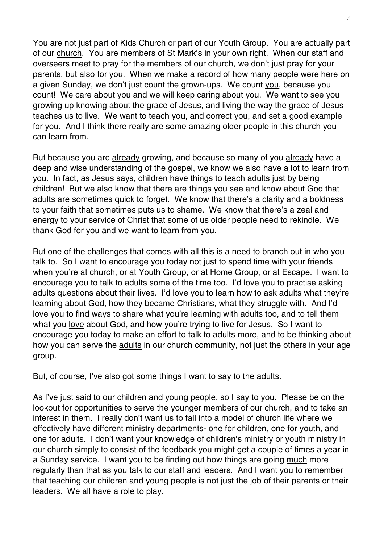You are not just part of Kids Church or part of our Youth Group. You are actually part of our church. You are members of St Mark's in your own right. When our staff and overseers meet to pray for the members of our church, we don't just pray for your parents, but also for you. When we make a record of how many people were here on a given Sunday, we don't just count the grown-ups. We count you, because you count! We care about you and we will keep caring about you. We want to see you growing up knowing about the grace of Jesus, and living the way the grace of Jesus teaches us to live. We want to teach you, and correct you, and set a good example for you. And I think there really are some amazing older people in this church you can learn from.

But because you are already growing, and because so many of you already have a deep and wise understanding of the gospel, we know we also have a lot to learn from you. In fact, as Jesus says, children have things to teach adults just by being children! But we also know that there are things you see and know about God that adults are sometimes quick to forget. We know that there's a clarity and a boldness to your faith that sometimes puts us to shame. We know that there's a zeal and energy to your service of Christ that some of us older people need to rekindle. We thank God for you and we want to learn from you.

But one of the challenges that comes with all this is a need to branch out in who you talk to. So I want to encourage you today not just to spend time with your friends when you're at church, or at Youth Group, or at Home Group, or at Escape. I want to encourage you to talk to adults some of the time too. I'd love you to practise asking adults questions about their lives. I'd love you to learn how to ask adults what they're learning about God, how they became Christians, what they struggle with. And I'd love you to find ways to share what you're learning with adults too, and to tell them what you love about God, and how you're trying to live for Jesus. So I want to encourage you today to make an effort to talk to adults more, and to be thinking about how you can serve the adults in our church community, not just the others in your age group.

But, of course, I've also got some things I want to say to the adults.

As I've just said to our children and young people, so I say to you. Please be on the lookout for opportunities to serve the younger members of our church, and to take an interest in them. I really don't want us to fall into a model of church life where we effectively have different ministry departments- one for children, one for youth, and one for adults. I don't want your knowledge of children's ministry or youth ministry in our church simply to consist of the feedback you might get a couple of times a year in a Sunday service. I want you to be finding out how things are going much more regularly than that as you talk to our staff and leaders. And I want you to remember that teaching our children and young people is not just the job of their parents or their leaders. We all have a role to play.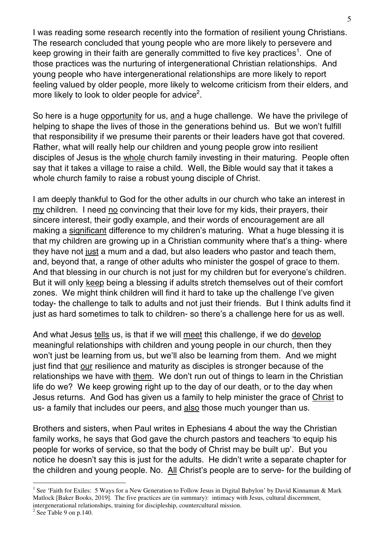I was reading some research recently into the formation of resilient young Christians. The research concluded that young people who are more likely to persevere and keep growing in their faith are generally committed to five key practices<sup>1</sup>. One of those practices was the nurturing of intergenerational Christian relationships. And young people who have intergenerational relationships are more likely to report feeling valued by older people, more likely to welcome criticism from their elders, and more likely to look to older people for advice<sup>2</sup>.

So here is a huge opportunity for us, and a huge challenge. We have the privilege of helping to shape the lives of those in the generations behind us. But we won't fulfill that responsibility if we presume their parents or their leaders have got that covered. Rather, what will really help our children and young people grow into resilient disciples of Jesus is the whole church family investing in their maturing. People often say that it takes a village to raise a child. Well, the Bible would say that it takes a whole church family to raise a robust young disciple of Christ.

I am deeply thankful to God for the other adults in our church who take an interest in my children. I need no convincing that their love for my kids, their prayers, their sincere interest, their godly example, and their words of encouragement are all making a significant difference to my children's maturing. What a huge blessing it is that my children are growing up in a Christian community where that's a thing- where they have not just a mum and a dad, but also leaders who pastor and teach them, and, beyond that, a range of other adults who minister the gospel of grace to them. And that blessing in our church is not just for my children but for everyone's children. But it will only keep being a blessing if adults stretch themselves out of their comfort zones. We might think children will find it hard to take up the challenge I've given today- the challenge to talk to adults and not just their friends. But I think adults find it just as hard sometimes to talk to children- so there's a challenge here for us as well.

And what Jesus tells us, is that if we will meet this challenge, if we do develop meaningful relationships with children and young people in our church, then they won't just be learning from us, but we'll also be learning from them. And we might just find that our resilience and maturity as disciples is stronger because of the relationships we have with them. We don't run out of things to learn in the Christian life do we? We keep growing right up to the day of our death, or to the day when Jesus returns. And God has given us a family to help minister the grace of Christ to us- a family that includes our peers, and also those much younger than us.

Brothers and sisters, when Paul writes in Ephesians 4 about the way the Christian family works, he says that God gave the church pastors and teachers 'to equip his people for works of service, so that the body of Christ may be built up'. But you notice he doesn't say this is just for the adults. He didn't write a separate chapter for the children and young people. No. All Christ's people are to serve- for the building of

 $\overline{a}$ 

<sup>&</sup>lt;sup>1</sup> See 'Faith for Exiles: 5 Ways for a New Generation to Follow Jesus in Digital Babylon' by David Kinnaman & Mark Matlock [Baker Books, 2019]. The five practices are (in summary): intimacy with Jesus, cultural discernment, intergenerational relationships, training for discipleship, countercultural mission.

 $2$  See Table 9 on p.140.